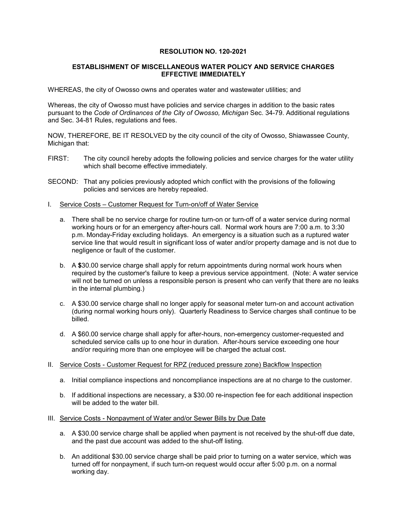### **RESOLUTION NO. 120-2021**

#### **ESTABLISHMENT OF MISCELLANEOUS WATER POLICY AND SERVICE CHARGES EFFECTIVE IMMEDIATELY**

WHEREAS, the city of Owosso owns and operates water and wastewater utilities; and

Whereas, the city of Owosso must have policies and service charges in addition to the basic rates pursuant to the *Code of Ordinances of the City of Owosso, Michigan* Sec. 34-79. Additional regulations and Sec. 34-81 Rules, regulations and fees.

NOW, THEREFORE, BE IT RESOLVED by the city council of the city of Owosso, Shiawassee County, Michigan that:

- FIRST: The city council hereby adopts the following policies and service charges for the water utility which shall become effective immediately.
- SECOND: That any policies previously adopted which conflict with the provisions of the following policies and services are hereby repealed.
- I. Service Costs Customer Request for Turn-on/off of Water Service
	- a. There shall be no service charge for routine turn-on or turn-off of a water service during normal working hours or for an emergency after-hours call. Normal work hours are 7:00 a.m. to 3:30 p.m. Monday-Friday excluding holidays. An emergency is a situation such as a ruptured water service line that would result in significant loss of water and/or property damage and is not due to negligence or fault of the customer.
	- b. A **\$**30.00 service charge shall apply for return appointments during normal work hours when required by the customer's failure to keep a previous service appointment. (Note: A water service will not be turned on unless a responsible person is present who can verify that there are no leaks in the internal plumbing.)
	- c. A \$30.00 service charge shall no longer apply for seasonal meter turn-on and account activation (during normal working hours only). Quarterly Readiness to Service charges shall continue to be billed.
	- d. A \$60.00 service charge shall apply for after-hours, non-emergency customer-requested and scheduled service calls up to one hour in duration. After-hours service exceeding one hour and/or requiring more than one employee will be charged the actual cost.
- II. Service Costs Customer Request for RPZ (reduced pressure zone) Backflow Inspection
	- a. Initial compliance inspections and noncompliance inspections are at no charge to the customer.
	- b. If additional inspections are necessary, a \$30.00 re-inspection fee for each additional inspection will be added to the water bill.
- III. Service Costs Nonpayment of Water and/or Sewer Bills by Due Date
	- a. A \$30.00 service charge shall be applied when payment is not received by the shut-off due date, and the past due account was added to the shut-off listing.
	- b. An additional \$30.00 service charge shall be paid prior to turning on a water service, which was turned off for nonpayment, if such turn-on request would occur after 5:00 p.m. on a normal working day.